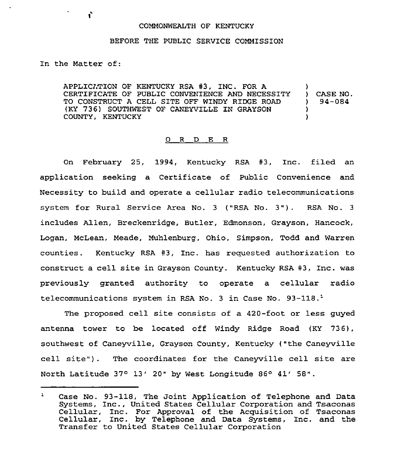## COMMONWEALTH OF KENTUCKY

## BEFORE THE PUBLIC SERVICE COMMISSION

In the Matter of:

Ċ

APPLICATION OF KENTUCKY RSA #3, INC. FOR A CERTIFICATE OF PUBLIC CONVENIENCE AND NECESSITY TO CONSTRUCT A CELL SITE OFF WINDY RIDGE ROAD (KY 736) SOUTHWEST OF CANEYV1LLE ZN GRAYSON COUNTY, KENTUCKY ) ) CASE NO. ) 94-084 ) )

## 0 R D E R

On February 25, 1994, Kentucky RSA #3, Inc. filed an application seeking a Certificate of Public Convenience and Necessity to build and operate a cellular radio telecommunications system for Rural Service Area No. <sup>3</sup> {"RSA No. 3"). RSA No. <sup>3</sup> includes Allen, Breckenridge, Butler, Edmonson, Grayson, Hancock, Logan, McLean, Meade, Muhlenburg, Ohio, Simpson, Todd and Warren counties. Kentucky RSA #3, Inc. has requested authorization to construct a cell site in Grayson County. Kentucky RSA #3, Inc. was previously granted authority to operate a cellular radio telecommunications system in RSA No. 3 in Case No. 93-118.<sup>1</sup>

The proposed cell site consists of a 420-foot or less quyed antenna tower to be located off Windy Ridge Road (KY 736), southwest of Caneyville, Grayson County, Kentucky ("the Caneyville cell site"). The coordinates for the Caneyville cell site are North Latitude  $37^{\circ}$  13' 20" by West Longitude 86 $^{\circ}$  41' 58".

Case No. 93-118, The Joint Application of Telephone and Data  $\mathbf{1}$ Systems, Inc., United States Cellular Corporation and Tsaconas Cellular, Inc. For Approval of the Acquisition of Tsaconas Cellular, Inc. by Telephone and Data Systems, Inc. and theTransfer to United States Cellular Corporation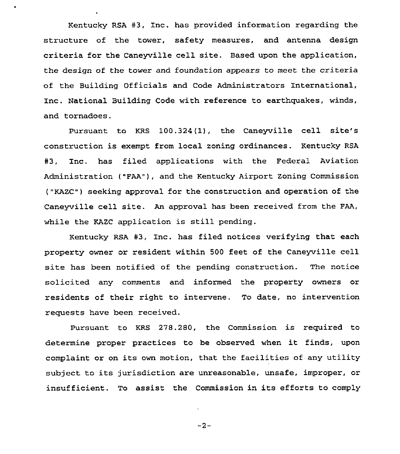Kentucky RSA #3, Inc. has provided information regarding the structure of the tower, safety measures, and antenna design criteria for the Caneyville cell site. Based upon the application, the design of the tower and foundation appears to meet the criteria of the Building Officials and Code Administrators International, Inc. National Building Code with reference to earthquakes, winds, and tornadoes.

Pursuant to KRS 100.324(1), the Caneyville cell site's construction is exempt from local zoning ordinances. Kentucky RSA #3, Inc. has filed applications with the Federal Aviation Administration ("FAA"), and the Kentucky Airport Zoning Commission ("KAZC") seeking approval for the construction and operation of the Caneyville cell site. An approval has been received from the FAA, while the KAZC application is still pending.

Kentucky RSA #3, Inc. has filed notices verifying that each property owner or resident within 500 feet of the Caneyville cell site has been notified of the pending construction. The notice solicited any comments and infozmed the property owners or residents of their right to intervene. To date, no intervention requests have been received.

Pursuant to KRS 278.280, the Commission is required to determine proper practices to be observed when it finds, upon complaint or on its own motion, that the facilities of any utility subject to its jurisdiction are unreasonable, unsafe, improper, or insufficient. To assist the Commission in its efforts to comply

 $-2-$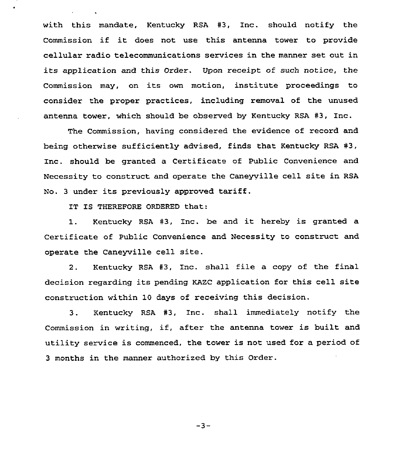with this mandate, Kentucky RSA #3, Inc. should notify the Commission if it does not use this antenna tower to provide cellular zadio telecommunications services in the manner set out in its application and this Order. Upon receipt of such notice, the Commission may, on its own motion, institute proceedings to consider the proper practices, including removal of the unused antenna tower, which should be observed by Kentucky RSA #3, Inc.

The Commission, having considered the evidence of record and being otherwise sufficiently advised, finds that Kentucky RSA #3, Inc. should be granted a Certificate of Public Convenience and Necessity to construct and operate the Caneyville cell site in RSA No. <sup>3</sup> under its previously approved tariff.

IT IS THEREFORE ORDERED that:

1. Kentucky RSA #3, Inc. be and it hereby is granted a Certificate of Public Convenience and Necessity to construct and operate the Caneyville cell site.

2. Kentucky RSA  $#3$ . Inc. shall file a copy of the final decision regarding its pending KAZC application for this cell site construction within 10 days of receiving this decision.

3. Kentucky RSA #3, Inc. shall immediately notify the Commission in writing, if, after the antenna tower is built and utility service is commenced, the tower is not used for a period of 3 months in the manner authorized by this Order.

 $-3-$